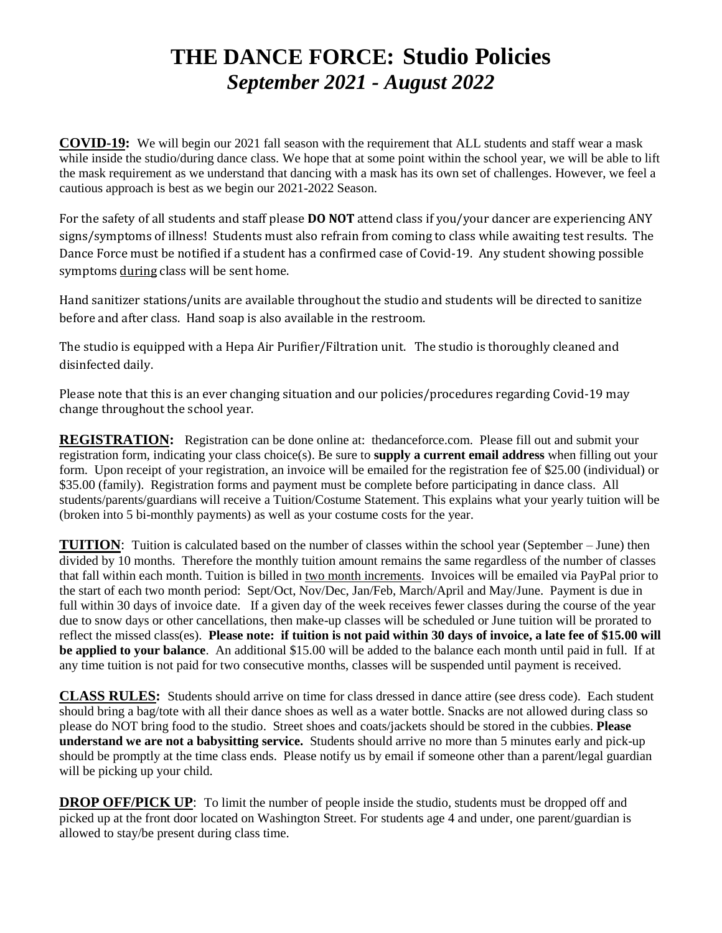# **THE DANCE FORCE: Studio Policies**  *September 2021 - August 2022*

**COVID-19:** We will begin our 2021 fall season with the requirement that ALL students and staff wear a mask while inside the studio/during dance class. We hope that at some point within the school year, we will be able to lift the mask requirement as we understand that dancing with a mask has its own set of challenges. However, we feel a cautious approach is best as we begin our 2021-2022 Season.

For the safety of all students and staff please **DO NOT** attend class if you/your dancer are experiencing ANY signs/symptoms of illness! Students must also refrain from coming to class while awaiting test results. The Dance Force must be notified if a student has a confirmed case of Covid-19. Any student showing possible symptoms during class will be sent home.

Hand sanitizer stations/units are available throughout the studio and students will be directed to sanitize before and after class. Hand soap is also available in the restroom.

The studio is equipped with a Hepa Air Purifier/Filtration unit. The studio is thoroughly cleaned and disinfected daily.

Please note that this is an ever changing situation and our policies/procedures regarding Covid-19 may change throughout the school year.

**REGISTRATION:** Registration can be done online at: thedanceforce.com. Please fill out and submit your registration form, indicating your class choice(s). Be sure to **supply a current email address** when filling out your form. Upon receipt of your registration, an invoice will be emailed for the registration fee of \$25.00 (individual) or \$35.00 (family). Registration forms and payment must be complete before participating in dance class. All students/parents/guardians will receive a Tuition/Costume Statement. This explains what your yearly tuition will be (broken into 5 bi-monthly payments) as well as your costume costs for the year.

**TUITION:** Tuition is calculated based on the number of classes within the school year (September – June) then divided by 10 months. Therefore the monthly tuition amount remains the same regardless of the number of classes that fall within each month. Tuition is billed in two month increments. Invoices will be emailed via PayPal prior to the start of each two month period: Sept/Oct, Nov/Dec, Jan/Feb, March/April and May/June. Payment is due in full within 30 days of invoice date. If a given day of the week receives fewer classes during the course of the year due to snow days or other cancellations, then make-up classes will be scheduled or June tuition will be prorated to reflect the missed class(es). **Please note: if tuition is not paid within 30 days of invoice, a late fee of \$15.00 will be applied to your balance**. An additional \$15.00 will be added to the balance each month until paid in full. If at any time tuition is not paid for two consecutive months, classes will be suspended until payment is received.

**CLASS RULES:** Students should arrive on time for class dressed in dance attire (see dress code). Each student should bring a bag/tote with all their dance shoes as well as a water bottle. Snacks are not allowed during class so please do NOT bring food to the studio. Street shoes and coats/jackets should be stored in the cubbies. **Please understand we are not a babysitting service.** Students should arrive no more than 5 minutes early and pick-up should be promptly at the time class ends. Please notify us by email if someone other than a parent/legal guardian will be picking up your child.

**DROP OFF/PICK UP:** To limit the number of people inside the studio, students must be dropped off and picked up at the front door located on Washington Street. For students age 4 and under, one parent/guardian is allowed to stay/be present during class time.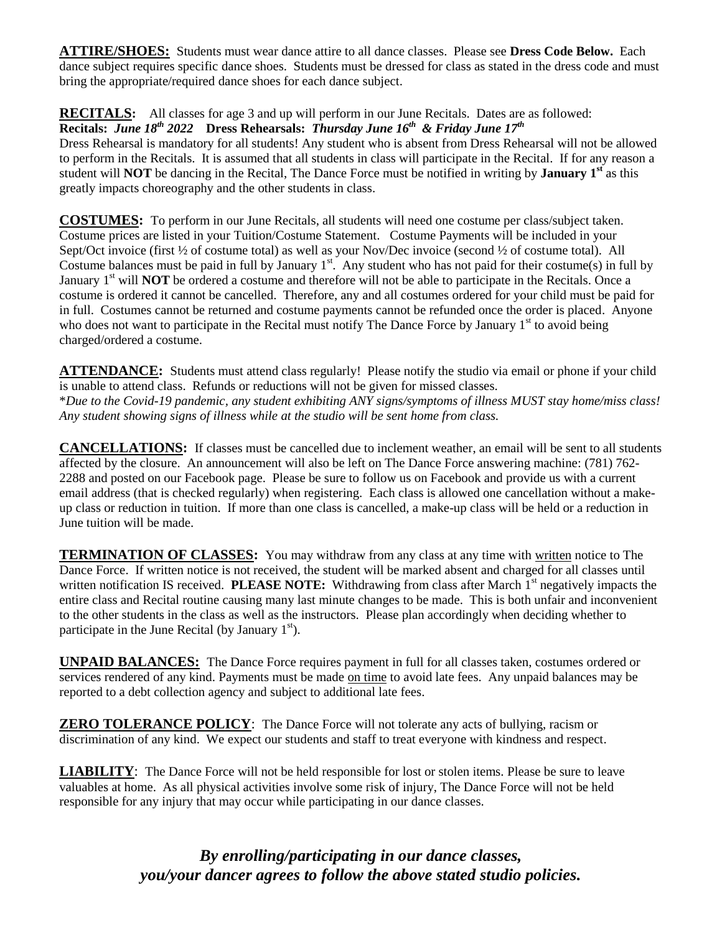**ATTIRE/SHOES:** Students must wear dance attire to all dance classes. Please see **Dress Code Below.** Each dance subject requires specific dance shoes. Students must be dressed for class as stated in the dress code and must bring the appropriate/required dance shoes for each dance subject.

**RECITALS:** All classes for age 3 and up will perform in our June Recitals. Dates are as followed:

### **Recitals:** *June 18 th 2022* **Dress Rehearsals:** *Thursday June 16 th & Friday June 17th*

Dress Rehearsal is mandatory for all students! Any student who is absent from Dress Rehearsal will not be allowed to perform in the Recitals.It is assumed that all students in class will participate in the Recital. If for any reason a student will **NOT** be dancing in the Recital, The Dance Force must be notified in writing by **January 1st** as this greatly impacts choreography and the other students in class.

**COSTUMES:** To perform in our June Recitals, all students will need one costume per class/subject taken. Costume prices are listed in your Tuition/Costume Statement. Costume Payments will be included in your Sept/Oct invoice (first  $\frac{1}{2}$  of costume total) as well as your Nov/Dec invoice (second  $\frac{1}{2}$  of costume total). All Costume balances must be paid in full by January  $1^{st}$ . Any student who has not paid for their costume(s) in full by January 1<sup>st</sup> will **NOT** be ordered a costume and therefore will not be able to participate in the Recitals. Once a costume is ordered it cannot be cancelled. Therefore, any and all costumes ordered for your child must be paid for in full. Costumes cannot be returned and costume payments cannot be refunded once the order is placed. Anyone who does not want to participate in the Recital must notify The Dance Force by January  $1<sup>st</sup>$  to avoid being charged/ordered a costume.

**ATTENDANCE:** Students must attend class regularly! Please notify the studio via email or phone if your child is unable to attend class. Refunds or reductions will not be given for missed classes. \**Due to the Covid-19 pandemic, any student exhibiting ANY signs/symptoms of illness MUST stay home/miss class! Any student showing signs of illness while at the studio will be sent home from class.*

**CANCELLATIONS:** If classes must be cancelled due to inclement weather, an email will be sent to all students affected by the closure. An announcement will also be left on The Dance Force answering machine: (781) 762- 2288 and posted on our Facebook page. Please be sure to follow us on Facebook and provide us with a current email address (that is checked regularly) when registering. Each class is allowed one cancellation without a makeup class or reduction in tuition. If more than one class is cancelled, a make-up class will be held or a reduction in June tuition will be made.

**TERMINATION OF CLASSES:** You may withdraw from any class at any time with written notice to The Dance Force. If written notice is not received, the student will be marked absent and charged for all classes until written notification IS received. **PLEASE NOTE:** Withdrawing from class after March 1<sup>st</sup> negatively impacts the entire class and Recital routine causing many last minute changes to be made. This is both unfair and inconvenient to the other students in the class as well as the instructors. Please plan accordingly when deciding whether to participate in the June Recital (by January  $1<sup>st</sup>$ ).

**UNPAID BALANCES:** The Dance Force requires payment in full for all classes taken, costumes ordered or services rendered of any kind. Payments must be made on time to avoid late fees. Any unpaid balances may be reported to a debt collection agency and subject to additional late fees.

**ZERO TOLERANCE POLICY**: The Dance Force will not tolerate any acts of bullying, racism or discrimination of any kind. We expect our students and staff to treat everyone with kindness and respect.

**LIABILITY**: The Dance Force will not be held responsible for lost or stolen items. Please be sure to leave valuables at home. As all physical activities involve some risk of injury, The Dance Force will not be held responsible for any injury that may occur while participating in our dance classes.

> *By enrolling/participating in our dance classes, you/your dancer agrees to follow the above stated studio policies.*